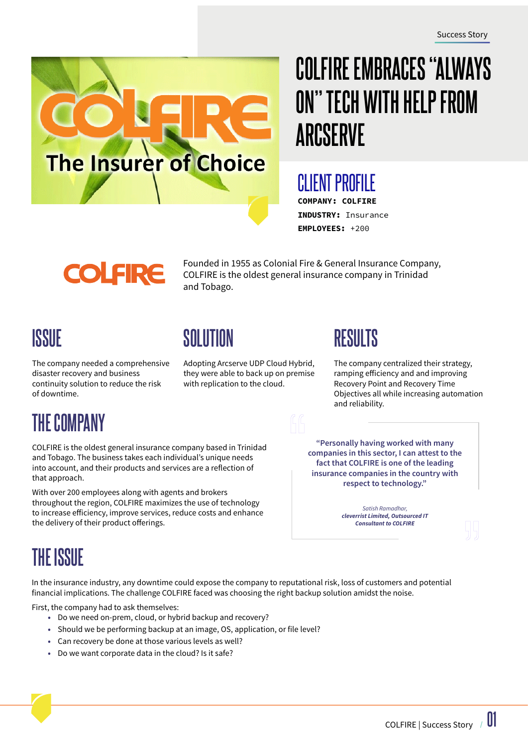

# **COLFIRE EMBRACES "ALWAYS ON" TECH WITH HELP FROM ARCSERVE**

#### CLIENT PROFILE COMPANY: COLFIRE

INDUSTRY: Insurance EMPLOYEES: +200

# **COLFIRE**

Founded in 1955 as Colonial Fire & General Insurance Company, COLFIRE is the oldest general insurance company in Trinidad and Tobago.

# **ISSUE**

The company needed a comprehensive disaster recovery and business continuity solution to reduce the risk of downtime.

# **SOLUTION RESULTS**

Adopting Arcserve UDP Cloud Hybrid, they were able to back up on premise with replication to the cloud.

The company centralized their strategy, ramping efficiency and and improving Recovery Point and Recovery Time Objectives all while increasing automation and reliability.

# **THE COMPANY**

COLFIRE is the oldest general insurance company based in Trinidad and Tobago. The business takes each individual's unique needs into account, and their products and services are a reflection of that approach.

With over 200 employees along with agents and brokers throughout the region, COLFIRE maximizes the use of technology to increase efficiency, improve services, reduce costs and enhance the delivery of their product offerings.

**"Personally having worked with many companies in this sector, I can attest to the fact that COLFIRE is one of the leading insurance companies in the country with respect to technology."**

> *Satish Ramadhar, cleverrist Limited, Outsourced IT Consultant to COLFIRE*

# **THE ISSUE**

In the insurance industry, any downtime could expose the company to reputational risk, loss of customers and potential financial implications. The challenge COLFIRE faced was choosing the right backup solution amidst the noise.

First, the company had to ask themselves:

- Do we need on-prem, cloud, or hybrid backup and recovery?
- Should we be performing backup at an image, OS, application, or file level?
- Can recovery be done at those various levels as well?
- Do we want corporate data in the cloud? Is it safe?